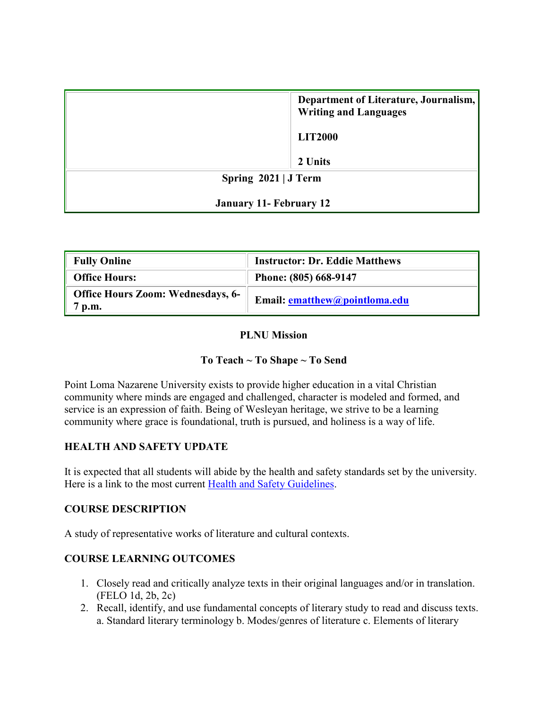|                                | Department of Literature, Journalism,<br><b>Writing and Languages</b> |  |  |
|--------------------------------|-----------------------------------------------------------------------|--|--|
|                                | <b>LIT2000</b>                                                        |  |  |
|                                | 2 Units                                                               |  |  |
| Spring $2021$ J Term           |                                                                       |  |  |
| <b>January 11- February 12</b> |                                                                       |  |  |

| <b>Fully Online</b>                              | <b>Instructor: Dr. Eddie Matthews</b> |
|--------------------------------------------------|---------------------------------------|
| <b>Office Hours:</b>                             | Phone: (805) 668-9147                 |
| <b>Office Hours Zoom: Wednesdays, 6-</b><br>p.m. | Email: ematthew@pointloma.edu         |

### **PLNU Mission**

### **To Teach ~ To Shape ~ To Send**

Point Loma Nazarene University exists to provide higher education in a vital Christian community where minds are engaged and challenged, character is modeled and formed, and service is an expression of faith. Being of Wesleyan heritage, we strive to be a learning community where grace is foundational, truth is pursued, and holiness is a way of life.

#### **HEALTH AND SAFETY UPDATE**

It is expected that all students will abide by the health and safety standards set by the university. Here is a link to the most current [Health and Safety Guidelines.](https://www.pointloma.edu/coronavirus-covid-19-information/healthy-safe-community)

### **COURSE DESCRIPTION**

A study of representative works of literature and cultural contexts.

### **COURSE LEARNING OUTCOMES**

- 1. Closely read and critically analyze texts in their original languages and/or in translation. (FELO 1d, 2b, 2c)
- 2. Recall, identify, and use fundamental concepts of literary study to read and discuss texts. a. Standard literary terminology b. Modes/genres of literature c. Elements of literary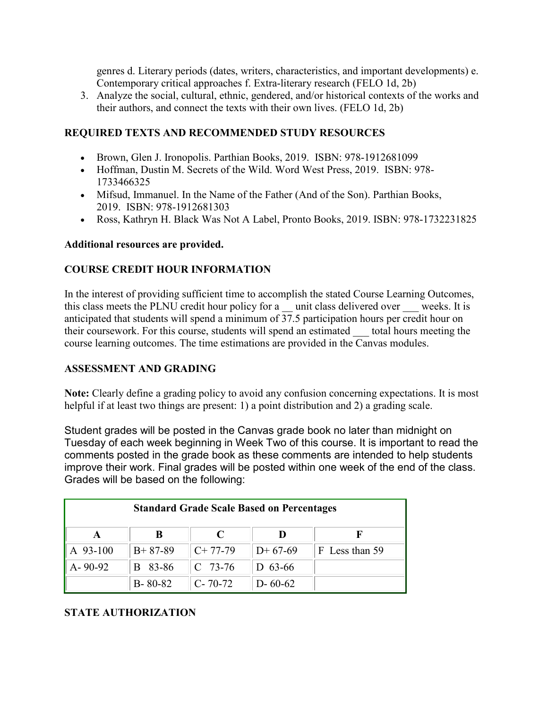genres d. Literary periods (dates, writers, characteristics, and important developments) e. Contemporary critical approaches f. Extra-literary research (FELO 1d, 2b)

3. Analyze the social, cultural, ethnic, gendered, and/or historical contexts of the works and their authors, and connect the texts with their own lives. (FELO 1d, 2b)

### **REQUIRED TEXTS AND RECOMMENDED STUDY RESOURCES**

- Brown, Glen J. Ironopolis. Parthian Books, 2019. ISBN: 978-1912681099
- Hoffman, Dustin M. Secrets of the Wild. Word West Press, 2019. ISBN: 978- 1733466325
- Mifsud, Immanuel. In the Name of the Father (And of the Son). Parthian Books, 2019. ISBN: 978-1912681303
- Ross, Kathryn H. Black Was Not A Label, Pronto Books, 2019. ISBN: 978-1732231825

### **Additional resources are provided.**

### **COURSE CREDIT HOUR INFORMATION**

In the interest of providing sufficient time to accomplish the stated Course Learning Outcomes, this class meets the PLNU credit hour policy for a \_\_ unit class delivered over \_\_\_ weeks. It is anticipated that students will spend a minimum of 37.5 participation hours per credit hour on their coursework. For this course, students will spend an estimated total hours meeting the course learning outcomes. The time estimations are provided in the Canvas modules.

### **ASSESSMENT AND GRADING**

**Note:** Clearly define a grading policy to avoid any confusion concerning expectations. It is most helpful if at least two things are present: 1) a point distribution and 2) a grading scale.

Student grades will be posted in the Canvas grade book no later than midnight on Tuesday of each week beginning in Week Two of this course. It is important to read the comments posted in the grade book as these comments are intended to help students improve their work. Final grades will be posted within one week of the end of the class. Grades will be based on the following:

| <b>Standard Grade Scale Based on Percentages</b> |               |               |               |                |  |
|--------------------------------------------------|---------------|---------------|---------------|----------------|--|
|                                                  | В             |               |               |                |  |
| A 93-100                                         | $B+87-89$     | $C+77-79$     | $D+67-69$     | F Less than 59 |  |
| $A - 90 - 92$                                    | B 83-86       | $C$ 73-76     | D $63-66$     |                |  |
|                                                  | $B - 80 - 82$ | $C - 70 - 72$ | $D - 60 - 62$ |                |  |

### **STATE AUTHORIZATION**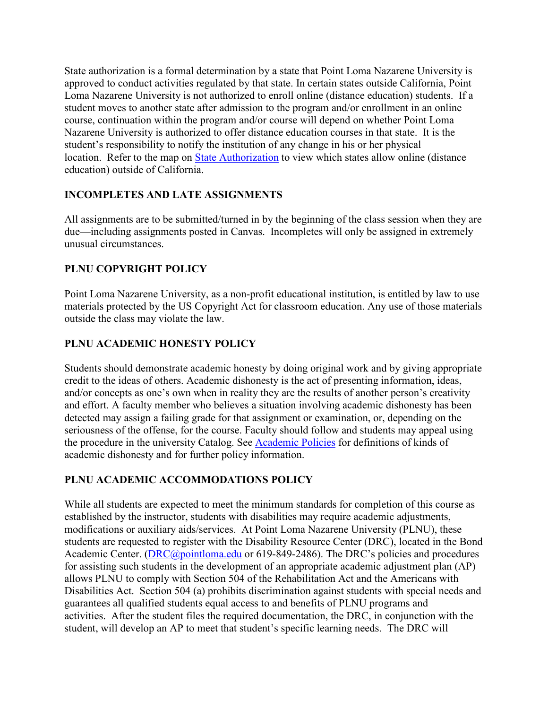State authorization is a formal determination by a state that Point Loma Nazarene University is approved to conduct activities regulated by that state. In certain states outside California, Point Loma Nazarene University is not authorized to enroll online (distance education) students. If a student moves to another state after admission to the program and/or enrollment in an online course, continuation within the program and/or course will depend on whether Point Loma Nazarene University is authorized to offer distance education courses in that state. It is the student's responsibility to notify the institution of any change in his or her physical location. Refer to the map on [State Authorization](https://www.pointloma.edu/offices/office-institutional-effectiveness-research/disclosures) to view which states allow online (distance education) outside of California.

# **INCOMPLETES AND LATE ASSIGNMENTS**

All assignments are to be submitted/turned in by the beginning of the class session when they are due—including assignments posted in Canvas. Incompletes will only be assigned in extremely unusual circumstances.

# **PLNU COPYRIGHT POLICY**

Point Loma Nazarene University, as a non-profit educational institution, is entitled by law to use materials protected by the US Copyright Act for classroom education. Any use of those materials outside the class may violate the law.

# **PLNU ACADEMIC HONESTY POLICY**

Students should demonstrate academic honesty by doing original work and by giving appropriate credit to the ideas of others. Academic dishonesty is the act of presenting information, ideas, and/or concepts as one's own when in reality they are the results of another person's creativity and effort. A faculty member who believes a situation involving academic dishonesty has been detected may assign a failing grade for that assignment or examination, or, depending on the seriousness of the offense, for the course. Faculty should follow and students may appeal using the procedure in the university Catalog. See [Academic Policies](http://catalog.pointloma.edu/content.php?catoid=18&navoid=1278) for definitions of kinds of academic dishonesty and for further policy information.

# **PLNU ACADEMIC ACCOMMODATIONS POLICY**

While all students are expected to meet the minimum standards for completion of this course as established by the instructor, students with disabilities may require academic adjustments, modifications or auxiliary aids/services. At Point Loma Nazarene University (PLNU), these students are requested to register with the Disability Resource Center (DRC), located in the Bond Academic Center. [\(DRC@pointloma.edu](mailto:DRC@pointloma.edu) or 619-849-2486). The DRC's policies and procedures for assisting such students in the development of an appropriate academic adjustment plan (AP) allows PLNU to comply with Section 504 of the Rehabilitation Act and the Americans with Disabilities Act. Section 504 (a) prohibits discrimination against students with special needs and guarantees all qualified students equal access to and benefits of PLNU programs and activities. After the student files the required documentation, the DRC, in conjunction with the student, will develop an AP to meet that student's specific learning needs. The DRC will